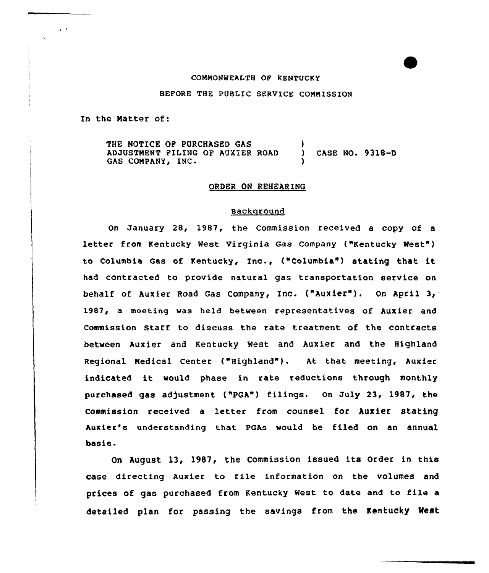## COMMONWEALTH OF KENTUCKY

#### BEFORE THE PUBLIC SERVICE COMMISSION

In the Natter of:

 $\sqrt{2}$ 

THE NOTICE OF PURCHASED GAS ADJUSTNENT FILING OF AUXIER ROAD GAS COMPANY, INC. ) ) CASE NO. 9318-D )

## ORDER ON REHEARING

### Background

On January 28, 1987, the Commission received a copy of a letter from Kentucky West Virginia Gas Company ("Kentucky West") to Columbia Gas of Kentucky, Inc., ("Columbia") stating that it had contracted to provide natural gae transportation service on behalf of Auxier Road Gas Company, Inc. {"Auxier"). On April 3, 1987, a meeting was held between representatives of Auxier and commission staff to discuss the rate treatment of the contracts between Auxier and Kentucky West and Auxier and the Highland Regional Medical Center ("Highland"). At that meeting, Auxier indicated it would phase in rate reductions through monthly purchased gas adjustment ("PGA") filings. On July 23, 1987, the Commission received a letter from counsel for Auxier stating Auxier's understanding that PGAs would be filed on an annual basis.

On August 13, 1987, the Commission issued its Order in this case directing Auxier to file information on the volumes and prices of gas purchased from Kentucky west to date and to file <sup>a</sup> detailed plan for passing the savings from the Kentucky Nest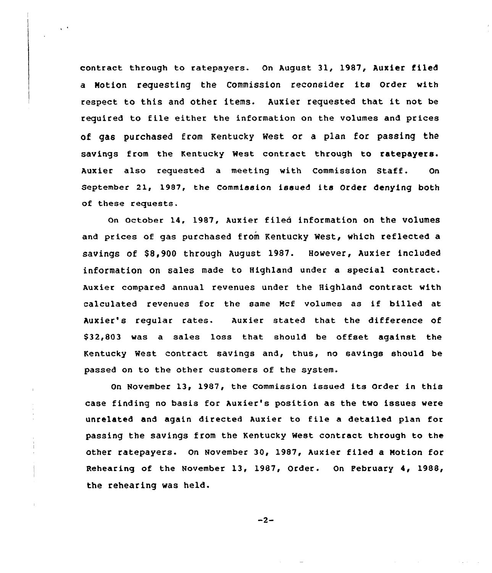contract through to ratepayers. On August 31, 1987, Auxier filed <sup>a</sup> Notion requesting the Commission reconsider its Order with respect ta this and other items. Auxier requested that it not be required to file either the information on the volumes and prices of gas purchased from Kentucky West or a plan for passing the savings from the Kentucky West contract through to ratepayers. Auxier also requested a meeting with Commission Staff. On September 21, 1987, the Commission issued its Order denying both of these requests.

 $\sqrt{2}$ 

On October 14, 1987, Auxier filed information on the volumes and prices of gas purchased from Kentucky West, which reflected a savings of \$8,900 through August 1987. However, Auxier included information on sales made to Highland under a special contract. Auxier compared annual revenues under the Highland contract with calculated revenues for the same Ncf volumes as if billed at Auxier's regular rates. Auxier stated that the difference of \$32,803 was a sales loss that should be offset against the Kentucky West contract savings and, thus, no savings should be passed on to the other customers of the system.

On November 13, 1987, the Commission issued its Order in this case finding no basis for Auxier's position as the two issues were unrelated and again directed Auxier to file <sup>a</sup> detailed plan for passing the savings from the Kentucky Nest contract through to the other ratepayers. On November 30, 1987, Auxier filed a Motion for Rehearing of the November 13, 1987, Order. On February 4, 1988, the rehearing was held.

 $-2-$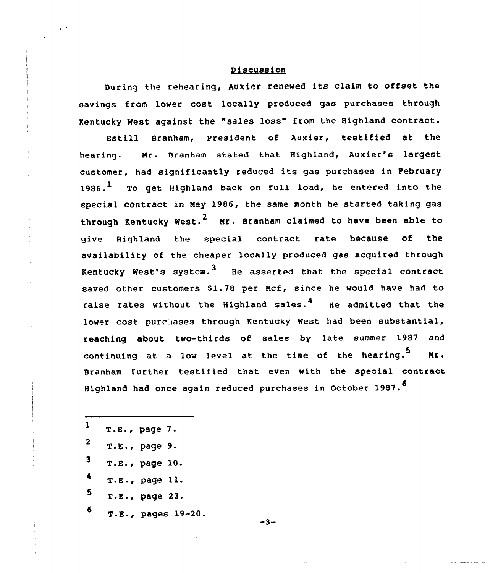# <sup>D</sup> iscuss ion

During the rehearing, Auxier renewed its claim to offset the savings from lower cost locally produced gas purchases through Kentucky Nest against the "sales loss" from the Highland contract.

Estill Branham, president of Auxier, testified at the hearing. Nr. Branham stated that Highland, Auxier's largest customer, had significantly reduced its gas purchases in February  $1986.$  To get Highland back on full load, he entered into the special contract in Hay 1986, the same month he started taking gas through Kentucky West.<sup>2</sup> Mr. Branham claimed to have been able to give Highland the special contract rate because of the availability of the cheaper locally produced gas acquired through Kentucky West's system. $3$  He asserted that the special contract saved other customers \$1.78 per Mcf, since he would have had to raise rates without the Highland sales.<sup>4</sup> He admitted that the lower cost purchases through Rentucky West had been substantial, reaching about two-thirds of sales by late summer 1987 and continuing at a low level at the time of the hearing.<sup>5</sup> Mr. Branham further testified that even with the special contract Highland had once again reduced purchases in October 1987.<sup>6</sup>

 T.E., page 7. T.E., page 9. T.E., page 10. T.E., page 11. T.E., page 23. T.E., pages 19-20.

 $-3-$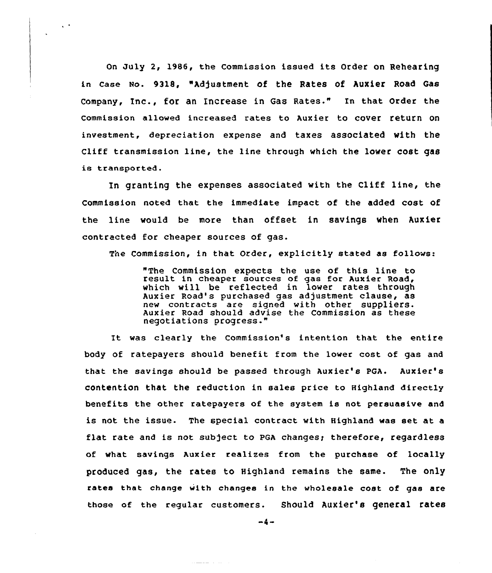On July 2, 1986, the Commission issued its Order on Rehearing in case wo. 9318, "Adjustment of the Rates of huxier Road Gas company, Inc., for an Increase in Gas Rates." In that order the commission allowed increased rates to Auxier to cover return on investment, depreciation expense and taxes associated with the Cliff transmission line, the line through vhich the lower cost gas is transported.

 $\zeta$  .

In granting the expenses associated vith the Cliff line, the Commission noted that the immediate impact of the added cost of the line vould be more than offset in savings when Auxier contracted for cheaper sources of gas.

The Commission, in that Order, explicitly stated as follows:

"The Commission expects the use of this line to result in cheaper sources of gas for Auxier Road, which will be reflected in lower rates through Auxier Road's purchased gas adjustment clause, as new contracts are signed with other suppliers. Auxier Road should advise the Commission as these negotiations progress."

It was clearly the Commission's intention that the entire body of ratepayers should benefit from the lower cost of gas and that the savings should be passed through Auxier's PGA. Auxier's contention that the reduction in sales price to Highland directly benefits the other ratepayers of the system is not persuasive and is not the issue. The special contract with Highland was set at a flat rate and is not subject to PGA changes; therefore, regardless of what savings Auxier realizes from the purchase of locally produced gas, the rates to Highland remains the same. The only rates that change with changes in the wholesale cost of gas are those of the regular customers. Should Auxier's general rates

 $-4-$ 

المتحدث المستندية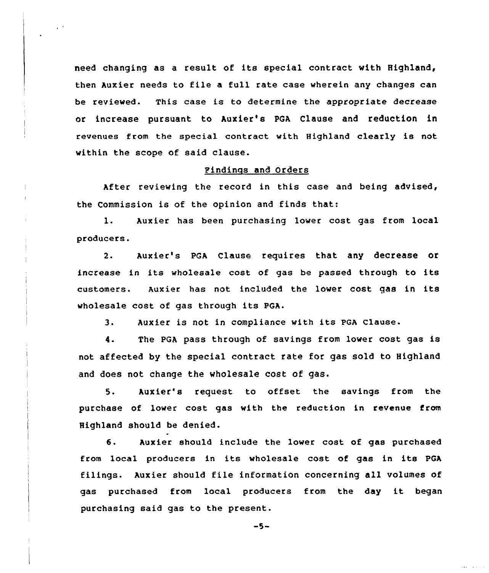need changing as <sup>a</sup> result of its special contract with Highland, then Auxier needs to file a full rate case wherein any changes can be reviewed. This ease is to determine the appropriate decrease or increase pursuant to Auxier's PGA, Clause and reduction in revenues from the special contract with Highland clearly is not within the scope of said clause.

#### Pindinqs and Orders

After reviewing the record in this ease and being advised, the Commission is of the opinion and finds that:

l. Auxier has been purchasing lower cost gas from local producers'.

Auxier's PGA Clause requires that any decrease or  $2.$ increase in its wholesale cost of gas be passed through to its customers. Auxier has not included the lower cost gas in its wholesale cost of gas through its PGA.

3. Auxier is not in compliance with its PGA Clause.

4. The PGA pass through of savings from lower cost gas is not affected by the special contract rate for gas sold to Highland and does not change the wholesale cost of gas.

5. Auxier's request to offset the savings from the purchase of lower cost gas with the reduction in revenue from Highland should be denied.

6. Auxier should include the lower cost of gas purchased from local producers in its wholesale cost of gas in its PGA filings. Auxier should file information concerning all volumes of gas purchased from local producers from the day it began purchasing said gas to the present.

 $-5-$